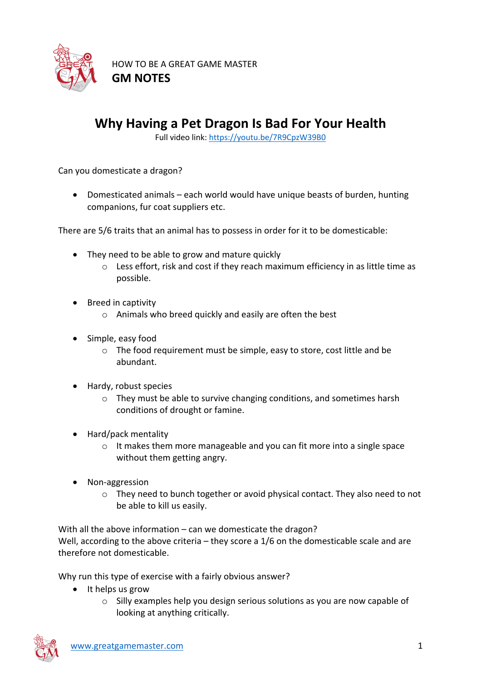

HOW TO BE A GREAT GAME MASTER **GM NOTES**

## **Why Having a Pet Dragon Is Bad For Your Health**

Full video link: https://youtu.be/7R9CpzW39B0

Can you domesticate a dragon?

• Domesticated animals – each world would have unique beasts of burden, hunting companions, fur coat suppliers etc.

There are 5/6 traits that an animal has to possess in order for it to be domesticable:

- They need to be able to grow and mature quickly
	- o Less effort, risk and cost if they reach maximum efficiency in as little time as possible.
- Breed in captivity
	- $\circ$  Animals who breed quickly and easily are often the best
- Simple, easy food
	- o The food requirement must be simple, easy to store, cost little and be abundant.
- Hardy, robust species
	- $\circ$  They must be able to survive changing conditions, and sometimes harsh conditions of drought or famine.
- Hard/pack mentality
	- $\circ$  It makes them more manageable and you can fit more into a single space without them getting angry.
- Non-aggression
	- o They need to bunch together or avoid physical contact. They also need to not be able to kill us easily.

With all the above information – can we domesticate the dragon? Well, according to the above criteria – they score a 1/6 on the domesticable scale and are therefore not domesticable.

Why run this type of exercise with a fairly obvious answer?

- It helps us grow
	- $\circ$  Silly examples help you design serious solutions as you are now capable of looking at anything critically.